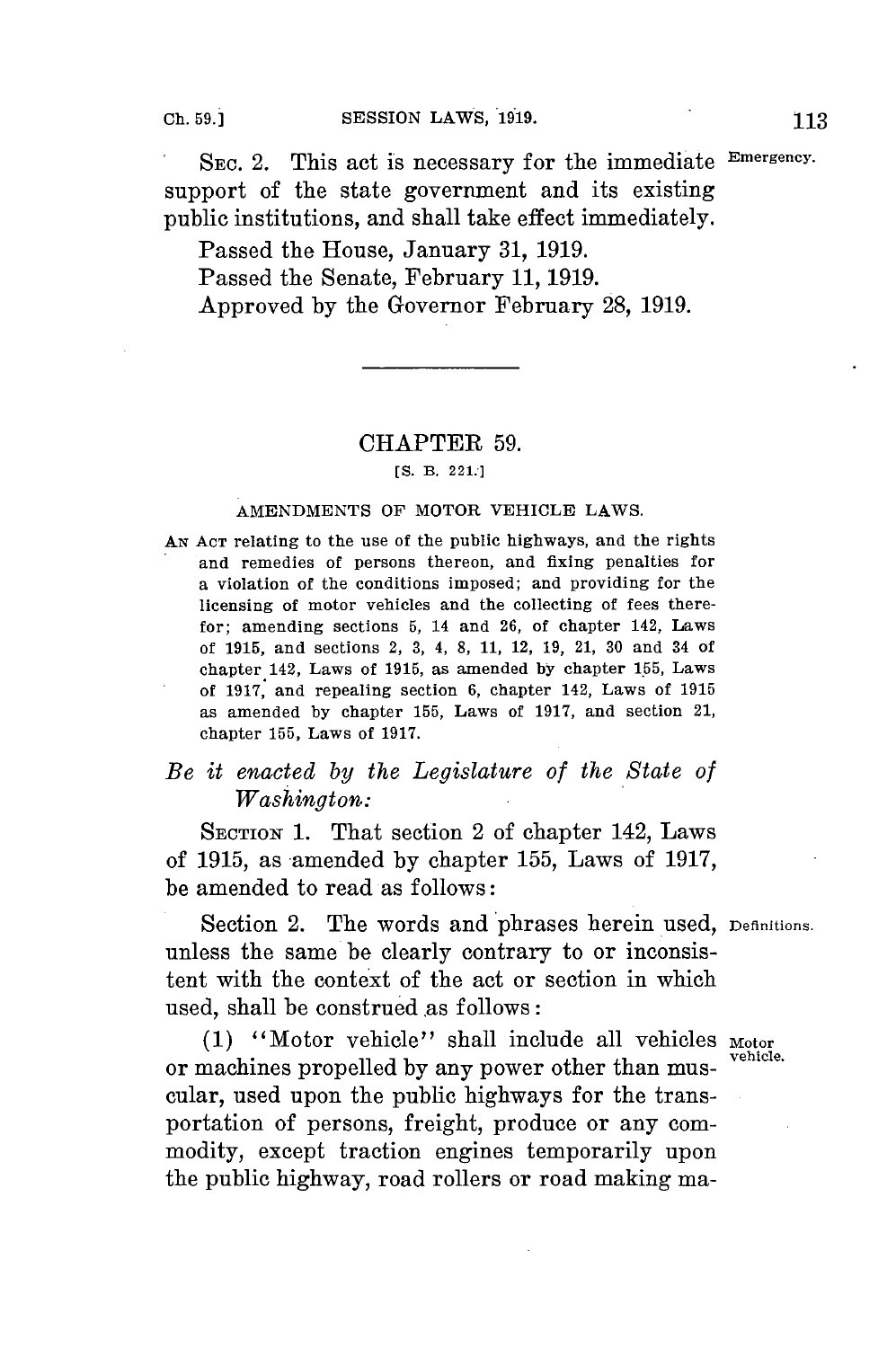SEC. 2. This act is necessary for the immediate Emergency. support of the state government and its existing public institutions, and shall take effect immediately.

Passed the House, January **31, 1919.** Passed the Senate, February **11, 1919.** Approved **by** the Governor February **28, 1919.**

## CHAPTER **59.**

*[S.* B. **221:]**

## **AMENDMENTS OF MOTOR VEHICLE LAWS.**

**AN ACT** relating to **the use of the public highways, and the rights** and remedies of persons thereon, and fixing penalties for a violation of the conditions imposed; and providing for the licensing of motor vehicles and the collecting of fees therefor; amending sections **5,** 14 and **26,** of chapter 142, Laws of **1915,** and sections 2, **3,** 4, **8, 11,** 12, **19,** 21, **30** and 34 of chapter 142, Laws of **1915,** as amended **by** chapter **155,** Laws of **1917,** and repealing section **6,** chapter 142, **Laws of 1915** as amended **by** chapter **155,** Laws of **1917,** and section 21, chapter **155,** Laws of **1917.**

## *Be it enacted by the Legislature of the State of Washington:*

**SECTION** 1. That section 2 of chapter 142, Laws of **1915,** as amended **by** chapter **155,** Laws of **1917,** be amended to read as follows:

Section 2. The words and phrases herein used, Definitions. unless the same be clearly contrary to or inconsistent with the context of the act or section in which used, shall be construed as follows:

(1) "Motor vehicle" shall include all vehicles Motor or machines propelled by any power other than muscular, used upon the public highways for the transportation of persons, freight, produce or any commodity, except traction engines temporarily upon the public highway, road rollers or road making ma-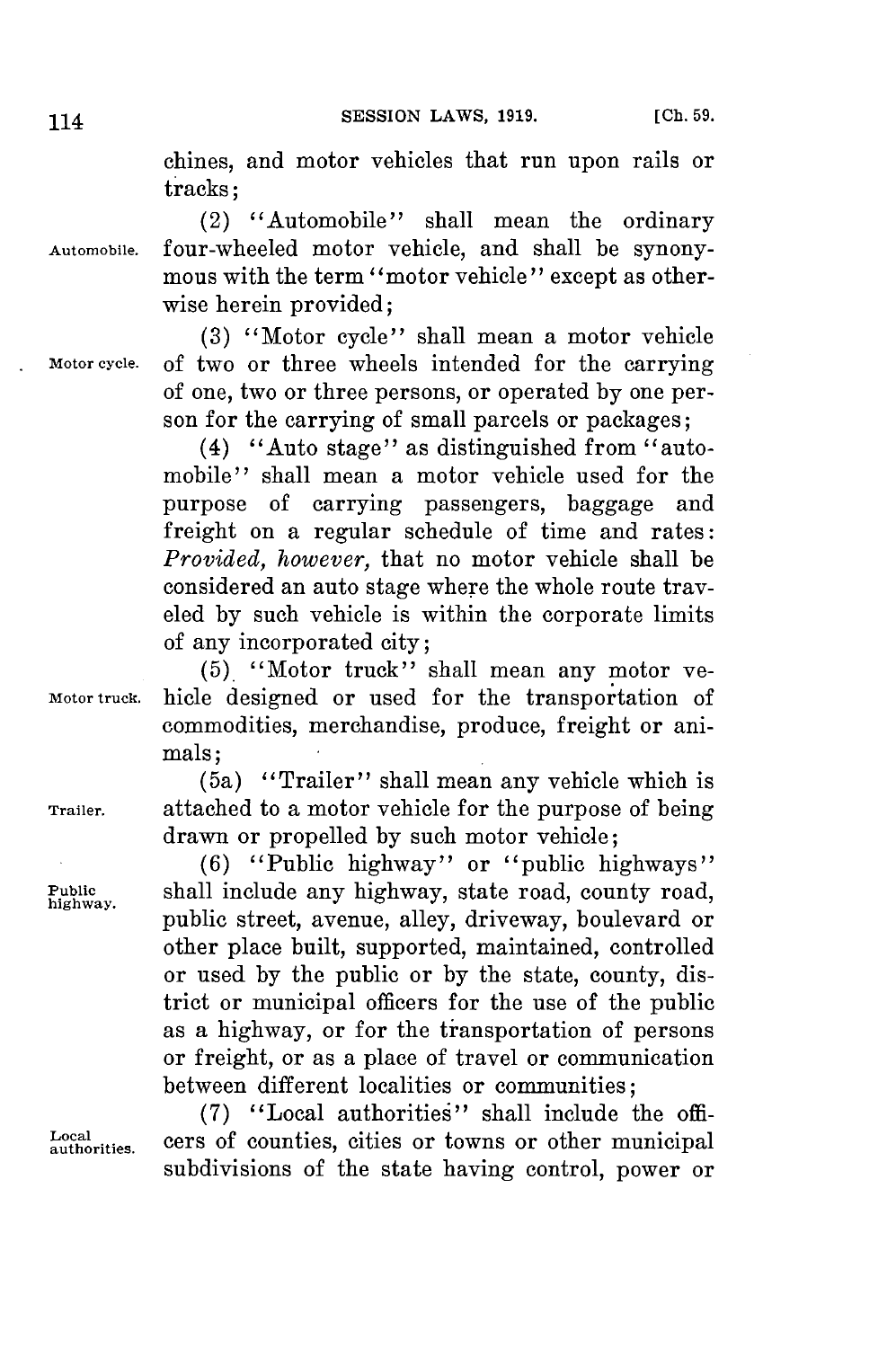chines, and motor vehicles that run upon rails or tracks;

(2) "Automobile" shall mean the ordinary **Automobile.** four-wheeled motor vehicle, and shall be synonymous with the term "motor vehicle" except as otherwise herein provided;

**(3)** "Motor cycle" shall mean a motor vehicle **Motor cycle.** of two or three wheels intended for the carrying of one, two or three persons, or operated **by** one person for the carrying of small parcels or packages;

> (4) "Auto stage" as distinguished from "automobile" shall mean a motor vehicle used for the purpose of carrying passengers, baggage and freight on a regular schedule of time and rates: *Provided, however,* that no motor vehicle shall be considered an auto stage where the whole route traveled **by** such vehicle is within the corporate limits of any incorporated city;

**(5).** "Motor truck" shall mean any motor ve-**Motor truck.** hicle designed or used for the transportation of commodities, merchandise, produce, freight or animals;

(5a) "Trailer" shall mean any vehicle which is **Trailer.** attached to a motor vehicle for the purpose of being drawn or propelled **by** such motor vehicle;

**(6)** "Public highway" or "public highways" Public **shall include any highway, state road, county road,** public street, avenue, alley, driveway, boulevard or other place built, supported, maintained, controlled or used **by** the public or **by** the state, county, district or municipal officers for the use of the public as a highway, or for the transportation of persons or freight, or as a place of travel or communication between different localities or communities;

**(7)** "Local authorities" shall include the offi**authorities.** cers of counties, cities or towns or other municipal subdivisions of the state having control, power or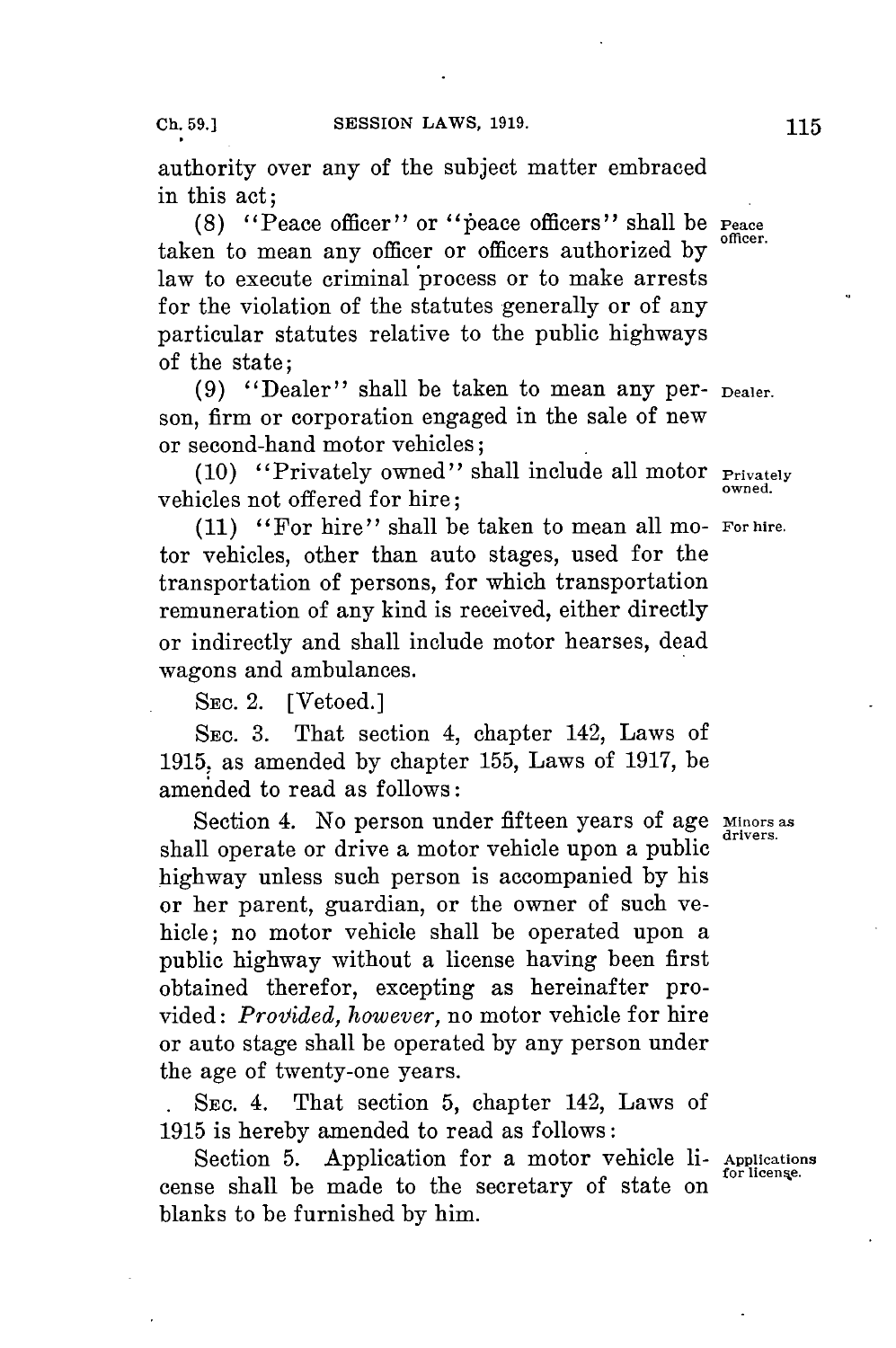authority over any of the subject matter embraced in this act;

**(8)** "Peace officer" or "peace officers" shall be **Peace officer.** taken to mean any officer or officers authorized **by** law to execute criminal 'process or to make arrests for the violation of the statutes generally or of any particular statutes relative to the public highways of the state;

**(9)** "Dealer" shall be taken to mean any per- **Dealer.** son, firm or corporation engaged in the sale of new or second-hand motor vehicles;

**(10)** "Privately owned" shall include all motor **Privately** vehicles not offered for hire;

**(11)** "For hire" shall be taken to mean all mo- **For hire.** tor vehicles, other than auto stages, used **for** the transportation of persons, for which transportation remuneration of any kind is received, either directly or indirectly and shall include motor hearses, dead wagons and ambulances.

**SEC.** 2. [Vetoed.]

**SEC. 3.** That section 4, chapter 142, Laws of **1915,** as amended **by** chapter **155,** Laws of **1917,** be amended to read as follows:

Section 4. No person under fifteen years of age Minors as shall operate or drive a motor vehicle upon a public highway unless such person is accompanied **by** his or her parent, guardian, or the owner of such vehicle; no motor vehicle shall be operated upon a public highway without a license having been first obtained therefor, excepting as hereinafter provided: *Provided, however,* no motor vehicle for hire or auto stage shall be operated **by** any person under the age of twenty-one years.

**. SEC.** 4. That section **5,** chapter 142, Laws of **1915** is hereby amended to read as follows:

Section **5.** Application for a motor vehicle li- **Applications** cense shall be made to the secretary of state on blanks to be furnished **by** him.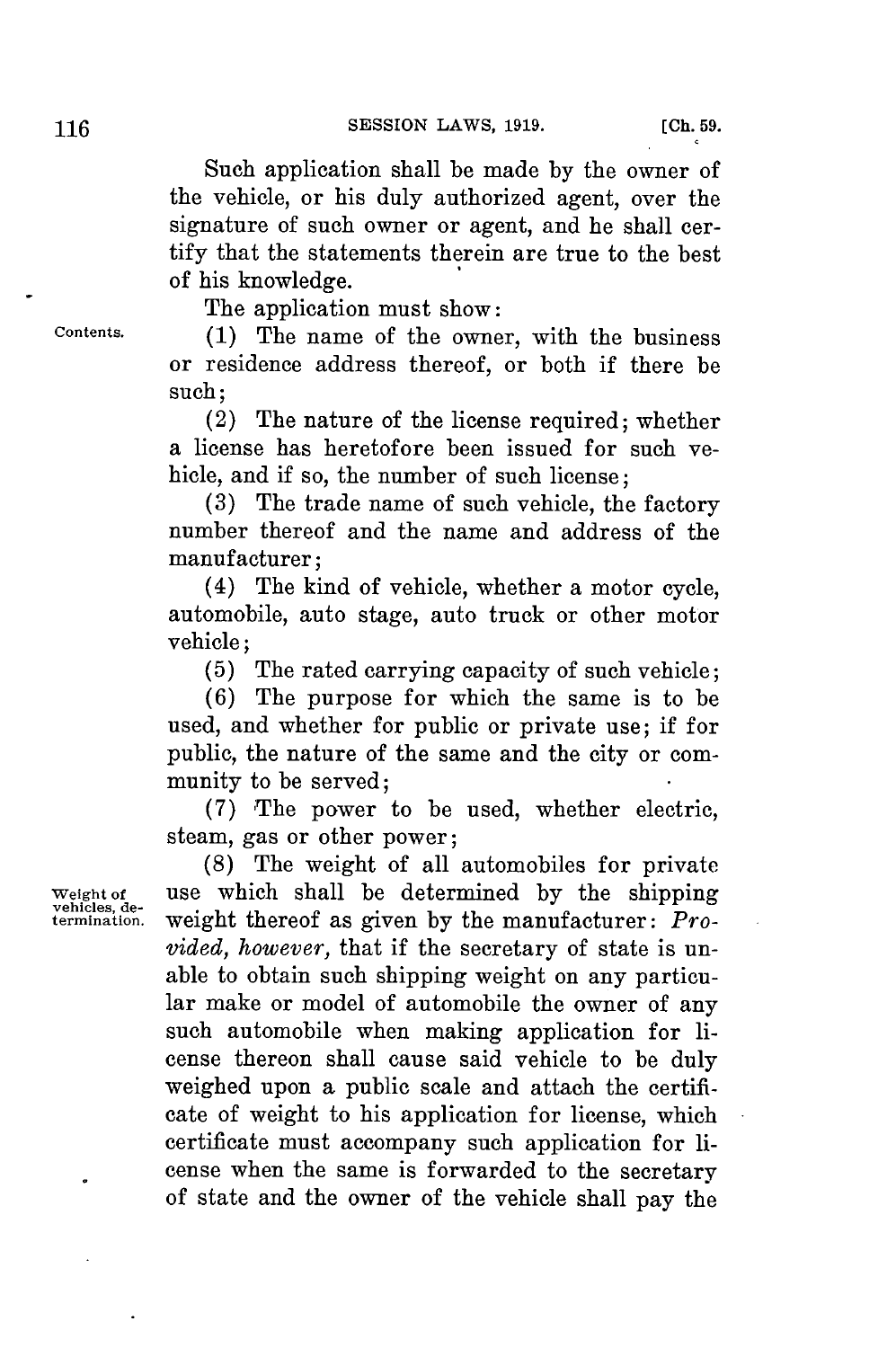Such application shall be made **by** the owner of the vehicle, or his duly authorized agent, over the signature of such owner or agent, and he shall certify that the statements therein are true to the best of his knowledge.

The application must show:

**Contents. (1)** The name of the owner, with the business or residence address thereof, or both if there be such;

> (2) The nature of the license required; whether a license has heretofore been issued for such vehicle, and if so, the number of such license:

> **(3)** The trade name of such vehicle, the factory number thereof and the name and address of the manufacturer;

> (4) The kind of vehicle, whether a motor cycle, automobile, auto stage, auto truck or other motor vehicle;

**(5)** The rated carrying capacity of such vehicle;

**(6)** The purpose for which the same is to be used, and whether for public or private use; if for public, the nature of the same and the city or community to be served;

**(7)** The power to be used, whether electric, steam, gas or other power;

**(8)** The weight of all automobiles for private **Weight of** use which shall be determined **by** the shipping **vehicles, de**weight thereof as given by the manufacturer: *Provided, however,* that if the secretary of state is unable to obtain such shipping weight on any particular make or model of automobile the owner of any such automobile when making application for license thereon shall cause said vehicle to be duly weighed upon a public scale and attach the certificate of weight to his application for license, which certificate must accompany such application for license when the same is forwarded to the secretary of state and the owner of the vehicle shall pay the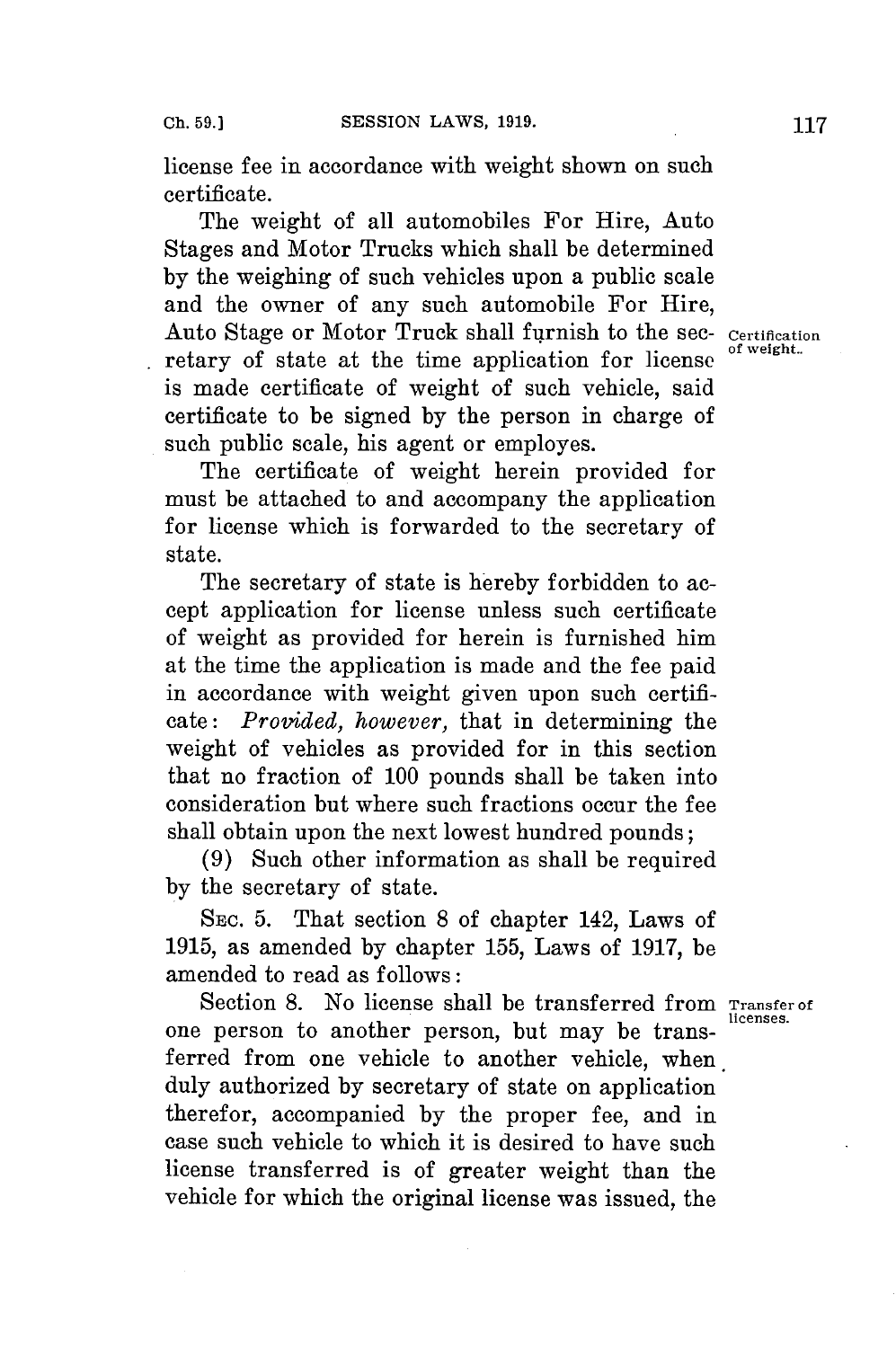license fee in accordance with weight shown on such certificate.

The weight of all automobiles For Hire, Auto Stages and Motor Trucks which shall be determined **by** the weighing of such vehicles upon a public scale and the owner of any such automobile For Hire, Auto Stage or Motor Truck shall furnish to the sec- Certification retary of state at the time application for license is made certificate of weight of such vehicle, said certificate to be signed **by** the person in charge of such public scale, his agent or employes.

The certificate of weight herein provided for must be attached to and accompany the application for license which is forwarded to the secretary of state.

The secretary of state is hereby forbidden to accept application for license unless such certificate of weight as provided for herein is furnished him at the time the application is made and the fee paid in accordance with weight given upon such certificate: *Provided, however,* that in determining the weight of vehicles as provided for in this section that no fraction of **100** pounds shall be taken into consideration but where such fractions occur the **fee** shall obtain upon the next lowest hundred pounds;

**(9)** Such other information as shall be required **by** the secretary of state.

SEc. **5.** That section **8** of chapter 142, Laws of **1915,** as amended **by** chapter **155,** Laws of **1917,** be amended to read as follows:

Section 8. No license shall be transferred from Transfer of one person to another person, but may be transferred from one vehicle to another vehicle, when duly authorized **by** secretary of state on application therefor, accompanied **by** the proper fee, and in case such vehicle to which it is desired to have such license transferred is of greater weight than the vehicle for which the original license was issued, the

**licenses.**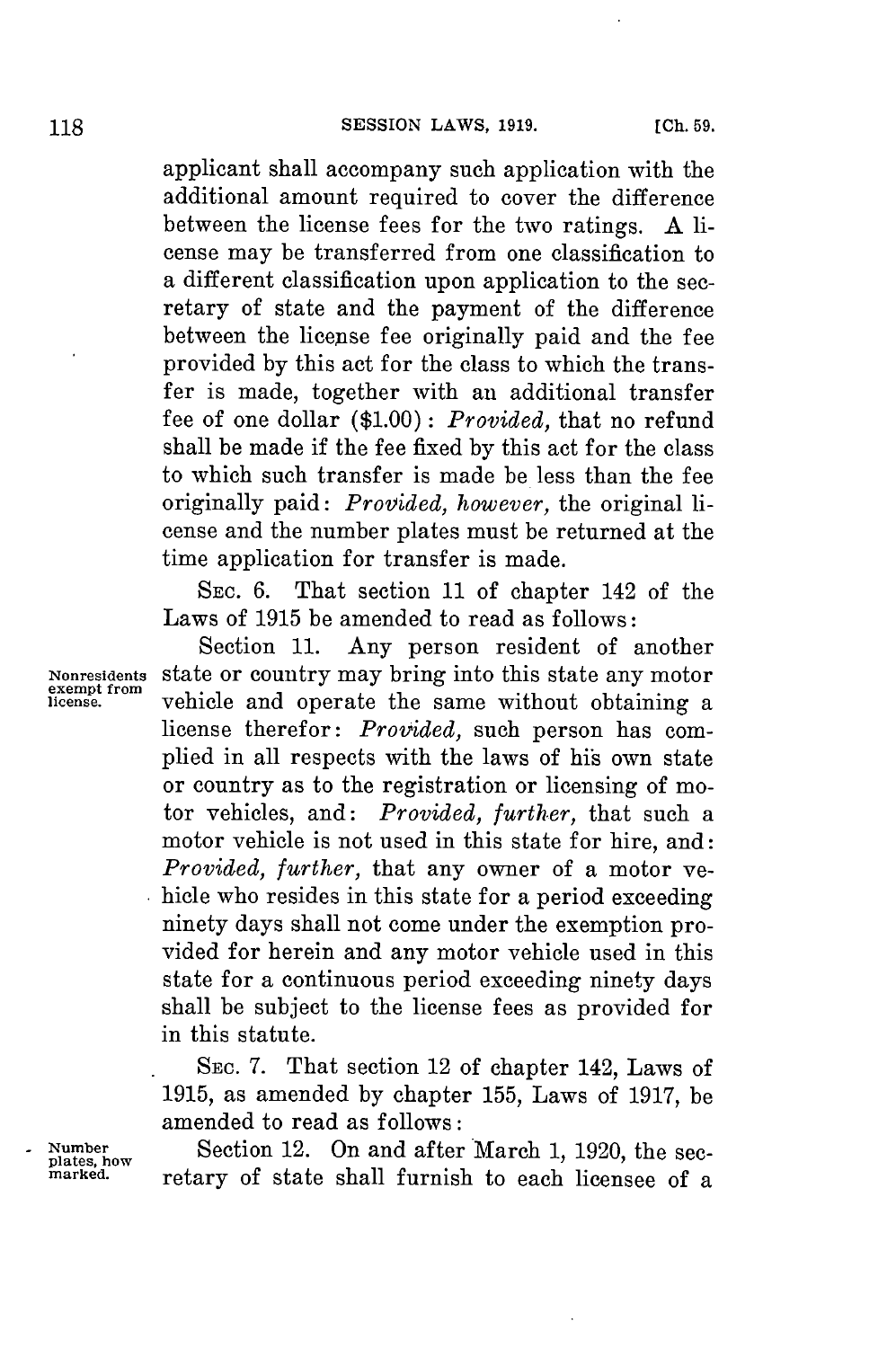## **SESSION LAWS, 1919.**

applicant shall accompany such application with the additional amount required to cover the difference between the license fees for the two ratings. **A** license may be transferred from one classification to a different classification upon application to the secretary of state and the payment of the difference between the license fee originally paid and the fee provided **by** this act for the class to which the transfer is made, together with an additional transfer fee of one dollar **(\$1.00)** *: Provided,* that no refund shall be made if the fee fixed **by** this act **for** the class to which such transfer is made be less than the **fee** originally paid: *Provided, however,* the original license and the number plates must be returned at the time application for transfer is made.

SEC. **6.** That section **11** of chapter 142 of the Laws of **1915** be amended to read as follows:

Section **11.** Any person resident of another **Nonresidents** state or country may bring into this state any motor vehicle and operate the same without obtaining a license therefor: *Provided,* such person has complied in all respects with the laws of his own state or country as to the registration or licensing of motor vehicles, and: *Provided, further,* that such a motor vehicle is not used in this state **for** hire, and: *Provided, further,* that any owner of a motor vehicle who resides in this state for a period exceeding ninety days shall not come under the exemption provided for herein and any motor vehicle used in this state for a continuous period exceeding ninety days shall be subject to the license fees as provided for in this statute.

> **SEC. 7.** That section 12 of chapter 142, Laws of **1915,** as amended **by** chapter **155,** Laws of **1917,** be amended to read as follows:

Number **12.** On and after March 1, 1920, the sec-<br>plates, how **property** of state shall furnish to each license of a retary of state shall furnish to each licensee of a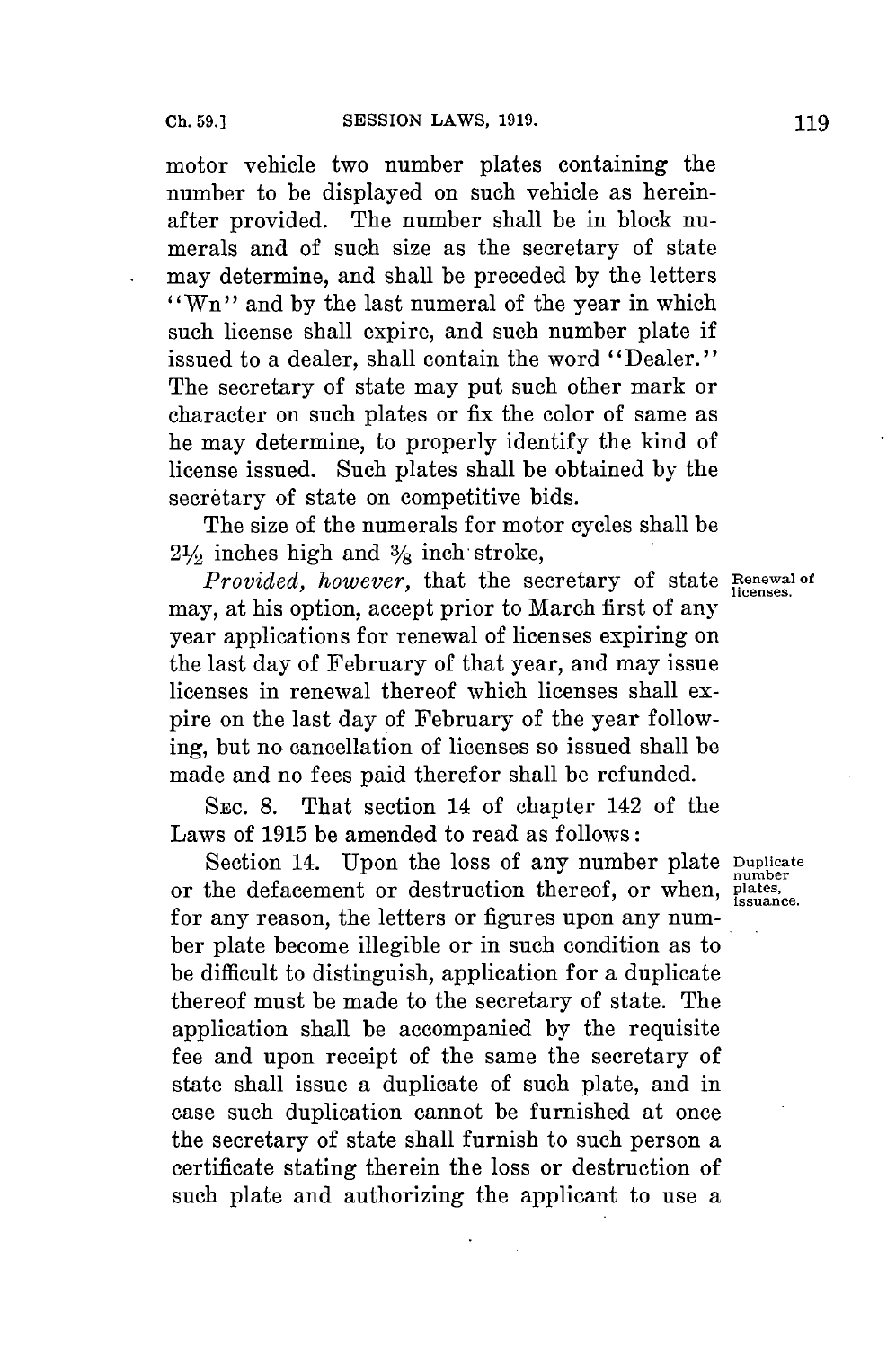motor vehicle two number plates containing the number to be displayed on such vehicle as hereinafter provided. The number shall be in block numerals and of such size as the secretary of state may determine, and shall be preceded **by** the letters "Wn" and by the last numeral of the year in which such license shall expire, and such number plate if issued to a dealer, shall contain the word "Dealer." The secretary of state may put such other mark or character on such plates or fix the color of same as he may determine, to properly identify the kind of license issued. Such plates shall be obtained **by** the secretary of state on competitive bids.

The size of the numerals **for** motor cycles shall be  $2\frac{1}{2}$  inches high and  $\frac{3}{8}$  inch stroke,

*Provided, however,* that the secretary of state **Renewal of** may, at his option, accept prior to March first of any year applications **for** renewal of licenses expiring on the last day of February of that year, and may issue licenses in renewal thereof which licenses shall expire on the last day of February of the year following, but no cancellation of licenses so issued shall **be** made and no fees paid therefor shall be refunded.

**SEC. 8.** That section 14 of chapter 142 of the Laws of **1915** be amended to read as follows:

Section 14. Upon the loss of any number plate **Duplicate** or the defacement or destruction thereof, or when, plates, for any reason, the letters or figures upon any number plate become illegible or in such condition as to be difficult to distinguish, application for a duplicate thereof must be made to the secretary of state. The application shall be accompanied **by** the requisite **fee** and upon receipt of the same the secretary of state shall issue a duplicate of such plate, and in case such duplication cannot be furnished at once the secretary of state shall furnish to such person a certificate stating therein the loss or destruction of such plate and authorizing the applicant to use a

**licenses,**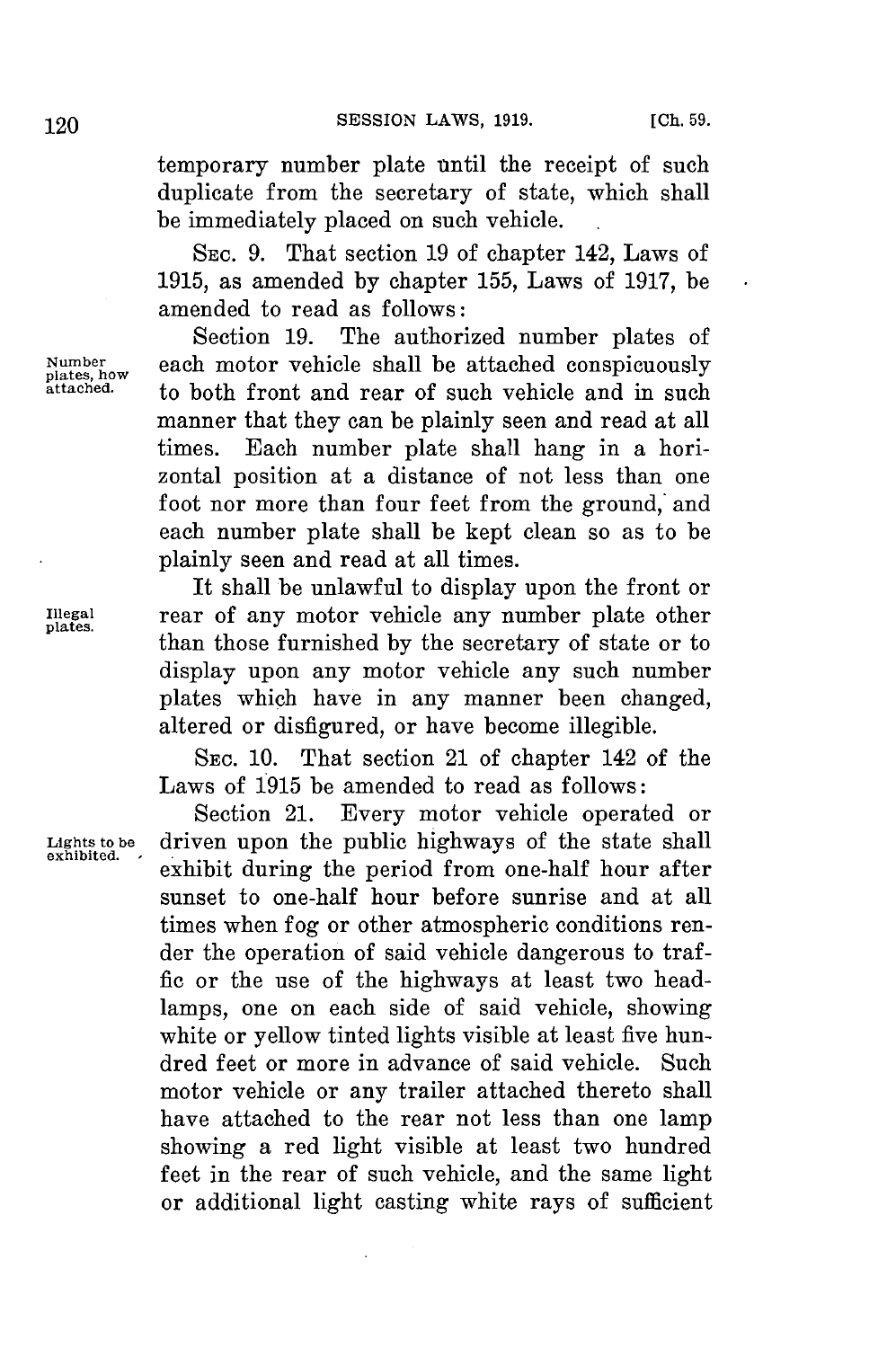temporary number plate until the receipt of such duplicate from the secretary of state, which shall be immediately placed on such vehicle.

**SEC. 9.** That section **19** of chapter 142, Laws of **1915,** as amended **by** chapter **155,** Laws of **1917,** be amended to read as follows:

Section **19.** The authorized number plates of Number<br>plates, how each motor vehicle shall be attached conspicuously<br>attached. to both front and rear of such vehicle and in such to both front and rear of such vehicle and in such manner that they can be plainly seen and read at all times. Each number plate shall hang in a horizontal position at a distance of not less than one foot nor more than four feet from the ground, and each number plate shall be kept clean so as to be plainly seen and read at all times.

It shall be unlawful to display upon the front or **Illegal** rear of any motor vehicle any number plate other **plates.** than those furnished **by** the secretary of state or to display upon any motor vehicle any such number plates which have in any manner been changed, altered or disfigured, or have become illegible.

> **SEC. 10.** That section 21 of chapter 142 of the Laws of 1915 be amended to read as follows:

> Section 21. Every motor vehicle operated or **Lights to be** driven upon the public highways of the state shall exhibit during the period from one-half hour after sunset to one-half hour before sunrise and at all times when fog or other atmospheric conditions render the operation of said vehicle dangerous to traf**fic** or the use of the highways at least two headlamps, one on each side of said vehicle, showing white or yellow tinted lights visible at least five hundred feet or more in advance of said vehicle. Such motor vehicle or any trailer attached thereto shall have attached to the rear not less than one lamp showing a red light visible at least two hundred feet in the rear of such vehicle, and the same light or additional light casting white rays of sufficient

**exhibited.**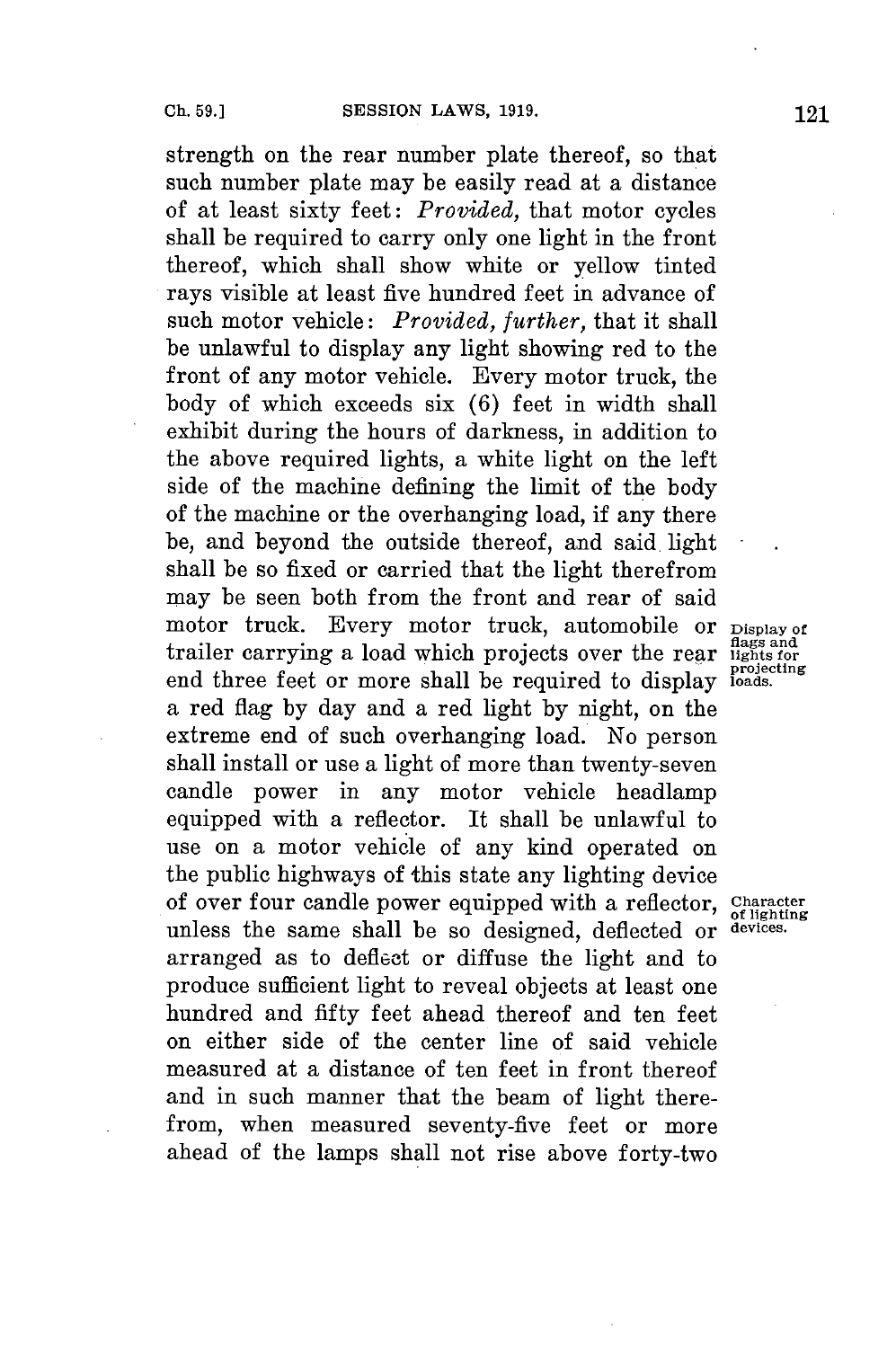strength on the rear number plate thereof, so that such number plate may be easily read at a distance of at least sixty feet: *Provided,* that motor cycles shall be required to carry only one light in the front thereof, which shall show white or yellow tinted rays visible at least five hundred feet in advance of such motor vehicle: *Provided, further,* that it shall be unlawful to display any light showing red to the front of any motor vehicle. Every motor truck, the body of which exceeds six **(6)** feet in width shall exhibit during the hours of darkness, in addition to the above required lights, a white light on the left side of the machine defining the limit of the body of the machine or the overhanging load, if any there be, and beyond the outside thereof, and said. light shall **be** so fixed or carried that the light therefrom may be seen both from the front and rear of said motor truck. Every motor truck, automobile or **Display of flags and** trailer carrying a load which projects over the rear **lights for** end three feet or more shall be required to display loads. a red flag **by** day and a red light **by** night, on the extreme end of such overhanging load. No person shall install or use a light of more than twenty-seven candle power in any motor vehicle headlamp equipped with a reflector. It shall be unlawful to use on a motor vehicle of any kind operated on the public highways of this state any lighting device of over four candle power equipped with a reflector, Character unless the same shall be so designed, deflected or **devices.** arranged as to deflect or diffuse the light and to produce sufficient light to reveal objects at least one hundred and fifty feet ahead thereof and ten feet on either side of the center line of said vehicle measured at a distance of ten feet in front thereof and in such manner that the beam of light therefrom, when measured seventy-five feet or more ahead of the lamps shall not rise above forty-two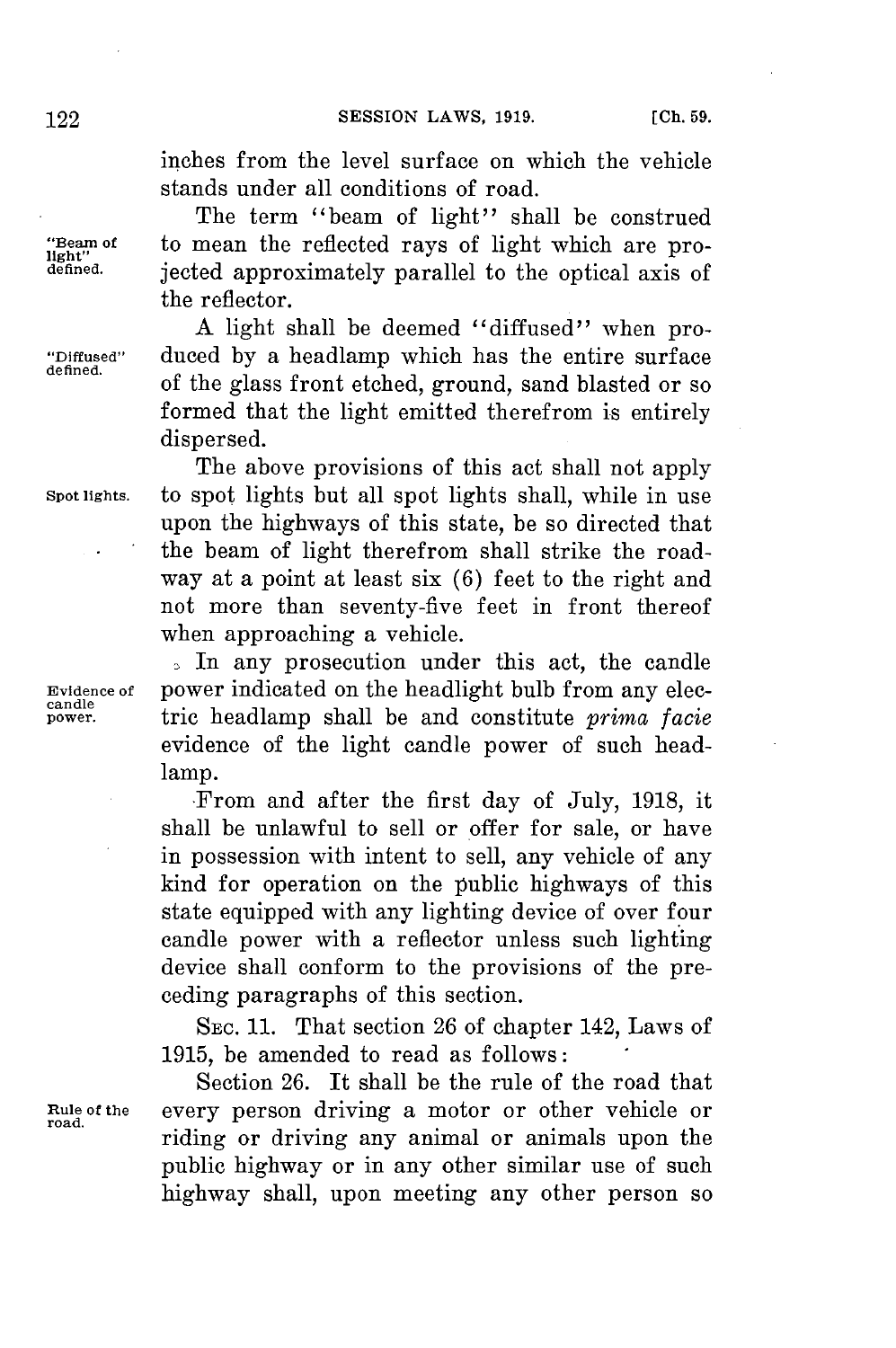inches from the level surface on which the vehicle stands under all conditions of road.

The term "beam of light" shall be construed **Beam of to mean the reflected rays of light which are pro-**  $\lim_{\text{left}}$  defined. **isoted approximately parallel to the optical axis of defined.** jected approximately parallel to the optical axis of the reflector.

**A** light shall be deemed "diffused" when pro- **"Diffused"** duced **by** a headlamp which has the entire surface of the glass front etched, ground, sand blasted or so formed that the light emitted therefrom is entirely dispersed.

The above provisions of this act shall not apply **Spot lights.** to spot lights but all spot lights shall, while in use upon the highways of this state, be so directed that the beam of light therefrom shall strike the roadway at a point at least six **(6)** feet to the right and not more than seventy-five feet in front thereof when approaching a vehicle.

**,** In any prosecution under this act, the candle **Evidence of** power indicated on the headlight bulb from any elec**power.** tric headlamp shall be and constitute *prima facie* evidence of the light candle power of such headlamp.

> From and after the first day of July, **1918,** it shall be unlawful to sell or offer **for** sale, or have in possession with intent to sell, any vehicle of any kind for operation on the public highways of this state equipped with any lighting device of over four candle power with a reflector unless such lighting device shall conform to the provisions of the preceding paragraphs of this section.

> SEc. **11.** That section **26** of chapter 142, Laws of **1915,** be amended to read as follows:

Section **26.** It shall be the rule of the road that **nule of the** every person driving a motor or other vehicle or riding or driving any animal or animals upon the public highway or in any other similar use of such highway shall, upon meeting any other person so

**candle**

**road.**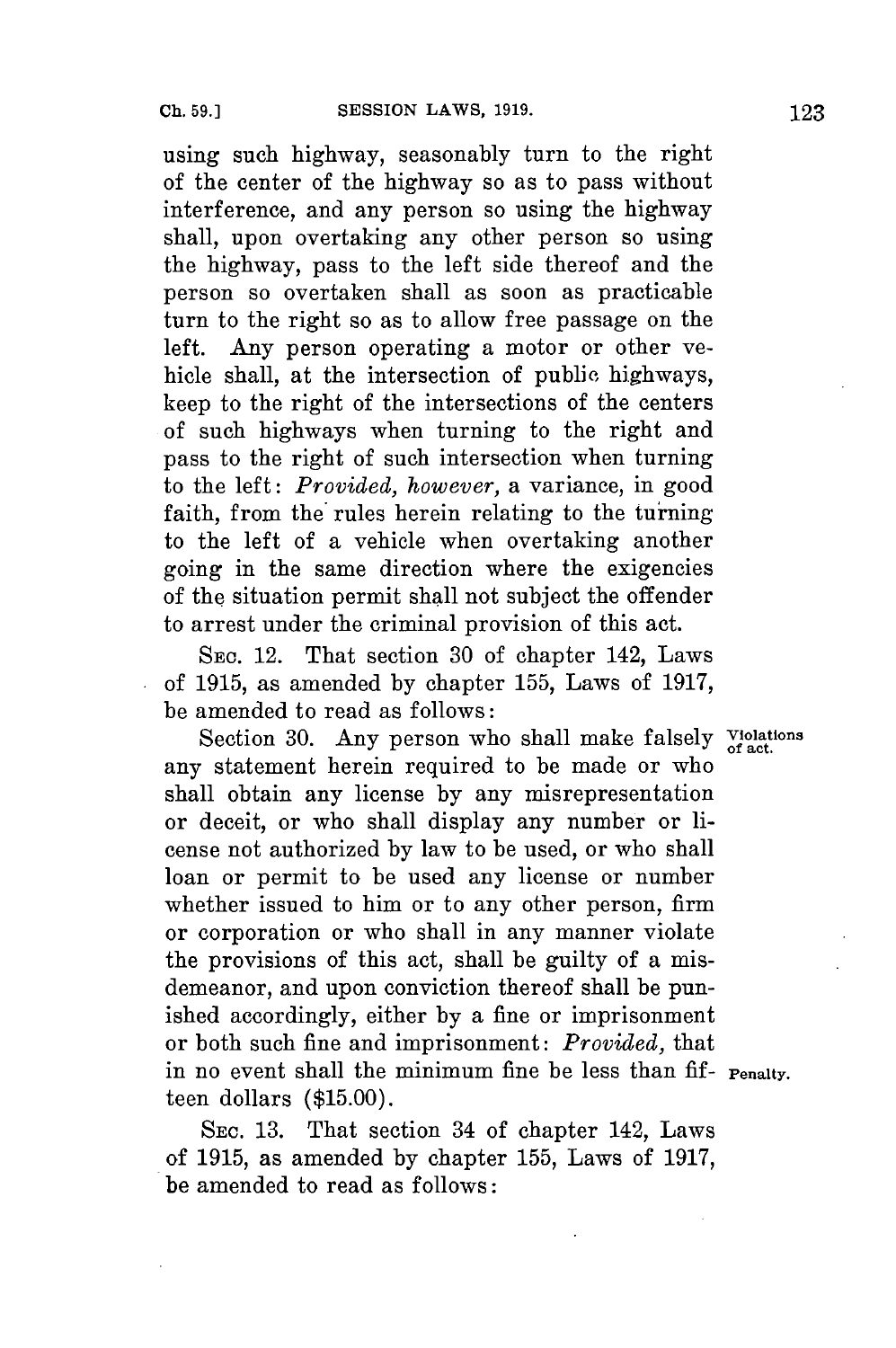using such highway, seasonably turn to the right of the center of the highway so as to pass without interference, and any person so using the highway shall, upon overtaking any other person so using the highway, pass to the left side thereof and the person so overtaken shall as soon as practicable turn to the right so as to allow free passage on the left. Any person operating a motor or other vehicle shall, at the intersection of public highways, keep to the right of the intersections of the centers of such highways when turning to the right and pass to the right of such intersection when turning to the left: *Provided, however,* a variance, in good faith, from the rules herein relating to the turning to the left of a vehicle when overtaking another going in the same direction where the exigencies of the situation permit shall not subject the offender to arrest under the criminal provision of this act.

**SEC.** 12. That section **30** of chapter 142, Laws of **1915,** as amended **by** chapter **155,** Laws of **1917,** be amended to read as follows:

Section 30. Any person who shall make falsely Violations any statement herein required to be made or who shall obtain any license **by** any misrepresentation or deceit, or who shall display any number or license not authorized **by** law to be used, or who shall loan or permit to be used any license or number whether issued to him or to any other person, firm or corporation or who shall in any manner violate the provisions of this act, shall be guilty of a misdemeanor, and upon conviction thereof shall be punished accordingly, either **by** a fine or imprisonment or both such fine and imprisonment: *Provided,* that in no event shall the minimum fine be less than fif- **Penalty.** teen dollars **(\$15.00).**

**SEC. 13.** That section 34 of chapter 142, Laws of **1915,** as amended **by** chapter **155,** Laws of **1917,** be amended to read as follows: